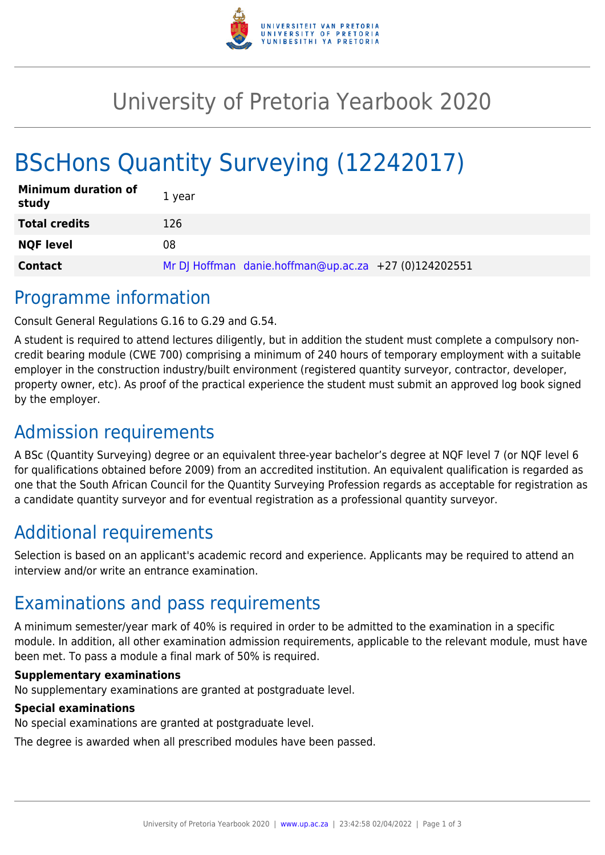

## University of Pretoria Yearbook 2020

# BScHons Quantity Surveying (12242017)

| <b>Minimum duration of</b><br>study | 1 year                                                |
|-------------------------------------|-------------------------------------------------------|
| <b>Total credits</b>                | 126                                                   |
| <b>NQF level</b>                    | 08                                                    |
| <b>Contact</b>                      | Mr DJ Hoffman danie.hoffman@up.ac.za +27 (0)124202551 |

### Programme information

Consult General Regulations G.16 to G.29 and G.54.

A student is required to attend lectures diligently, but in addition the student must complete a compulsory noncredit bearing module (CWE 700) comprising a minimum of 240 hours of temporary employment with a suitable employer in the construction industry/built environment (registered quantity surveyor, contractor, developer, property owner, etc). As proof of the practical experience the student must submit an approved log book signed by the employer.

### Admission requirements

A BSc (Quantity Surveying) degree or an equivalent three-year bachelor's degree at NQF level 7 (or NQF level 6 for qualifications obtained before 2009) from an accredited institution. An equivalent qualification is regarded as one that the South African Council for the Quantity Surveying Profession regards as acceptable for registration as a candidate quantity surveyor and for eventual registration as a professional quantity surveyor.

## Additional requirements

Selection is based on an applicant's academic record and experience. Applicants may be required to attend an interview and/or write an entrance examination.

### Examinations and pass requirements

A minimum semester/year mark of 40% is required in order to be admitted to the examination in a specific module. In addition, all other examination admission requirements, applicable to the relevant module, must have been met. To pass a module a final mark of 50% is required.

#### **Supplementary examinations**

No supplementary examinations are granted at postgraduate level.

#### **Special examinations**

No special examinations are granted at postgraduate level.

The degree is awarded when all prescribed modules have been passed.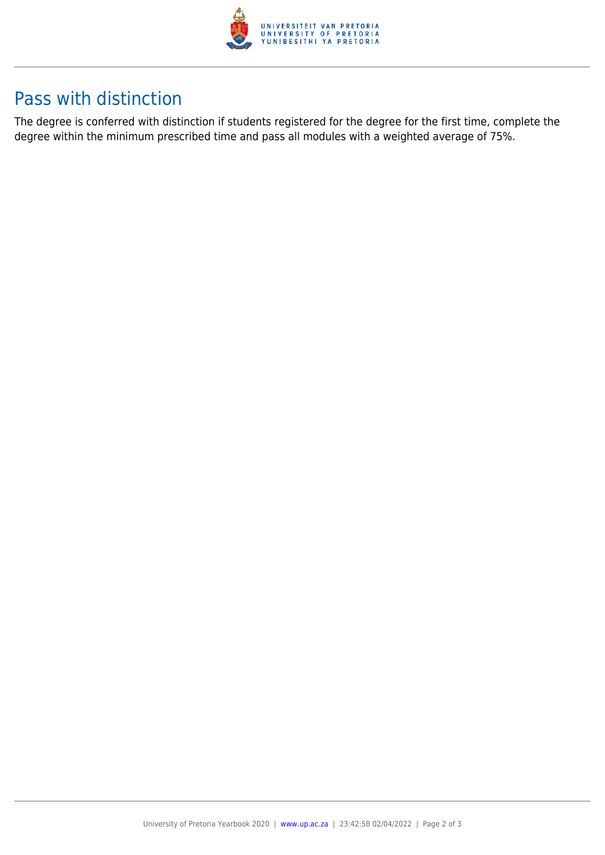

### Pass with distinction

The degree is conferred with distinction if students registered for the degree for the first time, complete the degree within the minimum prescribed time and pass all modules with a weighted average of 75%.